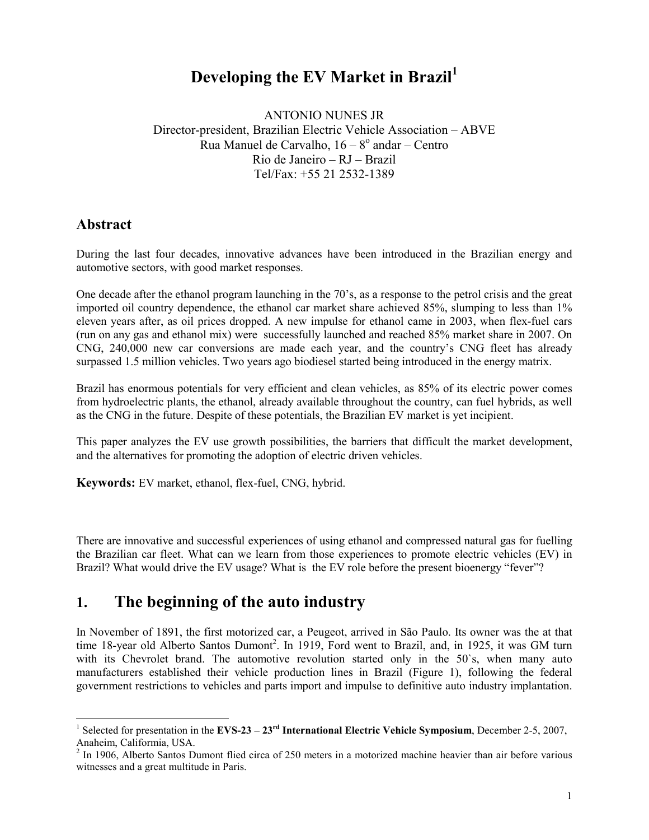# **Developing the EV Market in Brazil<sup>1</sup>**

ANTONIO NUNES JR Director-president, Brazilian Electric Vehicle Association – ABVE n<br>Rua Manuel de Carvalho, 16 – 8<sup>°</sup> andar – Centro Rio de Janeiro – RJ – Brazil Tel/Fax: +55 21 2532-1389

#### **Abstract**

During the last four decades, innovative advances have been introduced in the Brazilian energy and automotive sectors, with good market responses.

One decade after the ethanol program launching in the 70's, as a response to the petrol crisis and the great imported oil country dependence, the ethanol car market share achieved 85%, slumping to less than 1% eleven years after, as oil prices dropped. A new impulse for ethanol came in 2003, when flex-fuel cars (run on any gas and ethanol mix) were successfully launched and reached 85% market share in 2007. On CNG, 240,000 new car conversions are made each year, and the country's CNG fleet has already surpassed 1.5 million vehicles. Two years ago biodiesel started being introduced in the energy matrix.

Brazil has enormous potentials for very efficient and clean vehicles, as 85% of its electric power comes from hydroelectric plants, the ethanol, already available throughout the country, can fuel hybrids, as well as the CNG in the future. Despite of these potentials, the Brazilian EV market is yet incipient.

This paper analyzes the EV use growth possibilities, the barriers that difficult the market development, and the alternatives for promoting the adoption of electric driven vehicles.

**Keywords:** EV market, ethanol, flex-fuel, CNG, hybrid.

There are innovative and successful experiences of using ethanol and compressed natural gas for fuelling the Brazilian car fleet. What can we learn from those experiences to promote electric vehicles (EV) in Brazil? What would drive the EV usage? What is the EV role before the present bioenergy "fever"?

# **1. The beginning of the auto industry**

In November of 1891, the first motorized car, a Peugeot, arrived in São Paulo. Its owner was the at that time 18-year old Alberto Santos Dumont<sup>2</sup>. In 1919, Ford went to Brazil, and, in 1925, it was GM turn with its Chevrolet brand. The automotive revolution started only in the 50's, when many auto manufacturers established their vehicle production lines in Brazil (Figure 1), following the federal government restrictions to vehicles and parts import and impulse to definitive auto industry implantation.

 1 Selected for presentation in the **EVS-23 – 23rd International Electric Vehicle Symposium**, December 2-5, 2007, Anaheim, Califormia, USA.

 $2 \text{ In } 1906$ , Alberto Santos Dumont flied circa of 250 meters in a motorized machine heavier than air before various witnesses and a great multitude in Paris.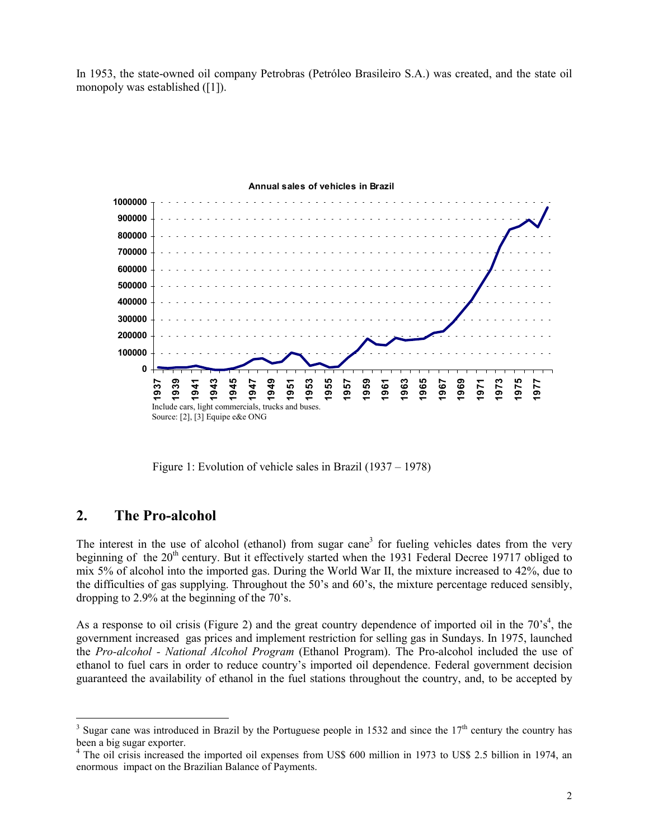In 1953, the state-owned oil company Petrobras (Petróleo Brasileiro S.A.) was created, and the state oil monopoly was established ([1]).



#### **Annual sales of vehicles in Brazil**

Figure 1: Evolution of vehicle sales in Brazil (1937 – 1978)

#### **2. The Pro-alcohol**

 $\overline{a}$ 

The interest in the use of alcohol (ethanol) from sugar cane<sup>3</sup> for fueling vehicles dates from the very beginning of the 20<sup>th</sup> century. But it effectively started when the 1931 Federal Decree 19717 obliged to mix 5% of alcohol into the imported gas. During the World War II, the mixture increased to 42%, due to the difficulties of gas supplying. Throughout the 50's and 60's, the mixture percentage reduced sensibly, dropping to 2.9% at the beginning of the 70's.

As a response to oil crisis (Figure 2) and the great country dependence of imported oil in the  $70^{\circ}$ s<sup>4</sup>, the government increased gas prices and implement restriction for selling gas in Sundays. In 1975, launched the *Pro-alcohol - National Alcohol Program* (Ethanol Program). The Pro-alcohol included the use of ethanol to fuel cars in order to reduce country's imported oil dependence. Federal government decision guaranteed the availability of ethanol in the fuel stations throughout the country, and, to be accepted by

<sup>&</sup>lt;sup>3</sup> Sugar cane was introduced in Brazil by the Portuguese people in 1532 and since the  $17<sup>th</sup>$  century the country has been a big sugar exporter.

<sup>&</sup>lt;sup>4</sup> The oil crisis increased the imported oil expenses from US\$ 600 million in 1973 to US\$ 2.5 billion in 1974, an enormous impact on the Brazilian Balance of Payments.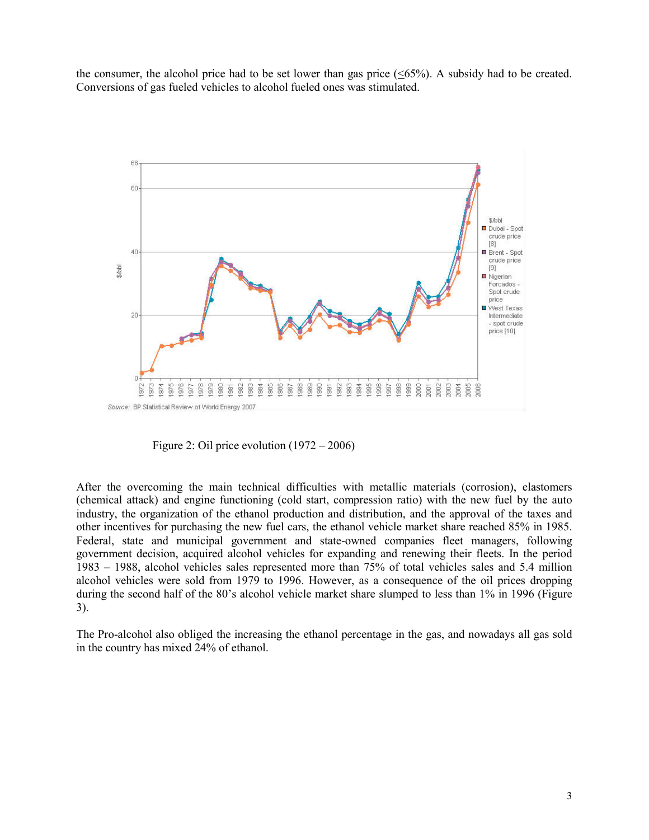the consumer, the alcohol price had to be set lower than gas price  $(\leq 65\%)$ . A subsidy had to be created. Conversions of gas fueled vehicles to alcohol fueled ones was stimulated.



Figure 2: Oil price evolution (1972 – 2006)

After the overcoming the main technical difficulties with metallic materials (corrosion), elastomers (chemical attack) and engine functioning (cold start, compression ratio) with the new fuel by the auto industry, the organization of the ethanol production and distribution, and the approval of the taxes and other incentives for purchasing the new fuel cars, the ethanol vehicle market share reached 85% in 1985. Federal, state and municipal government and state-owned companies fleet managers, following government decision, acquired alcohol vehicles for expanding and renewing their fleets. In the period 1983 – 1988, alcohol vehicles sales represented more than 75% of total vehicles sales and 5.4 million alcohol vehicles were sold from 1979 to 1996. However, as a consequence of the oil prices dropping during the second half of the 80's alcohol vehicle market share slumped to less than 1% in 1996 (Figure 3).

The Pro-alcohol also obliged the increasing the ethanol percentage in the gas, and nowadays all gas sold in the country has mixed 24% of ethanol.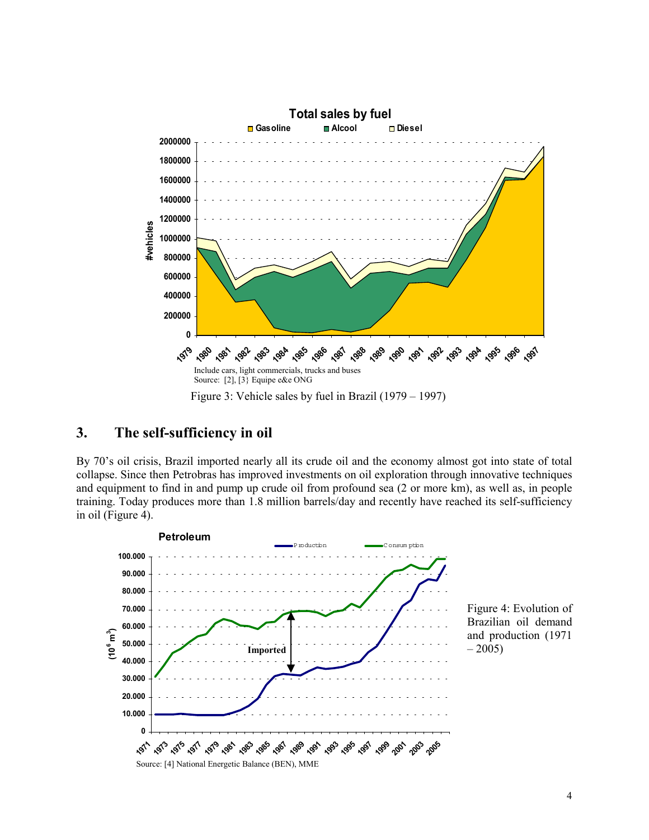

## **3. The self-sufficiency in oil**

By 70's oil crisis, Brazil imported nearly all its crude oil and the economy almost got into state of total collapse. Since then Petrobras has improved investments on oil exploration through innovative techniques and equipment to find in and pump up crude oil from profound sea (2 or more km), as well as, in people training. Today produces more than 1.8 million barrels/day and recently have reached its self-sufficiency in oil (Figure 4).

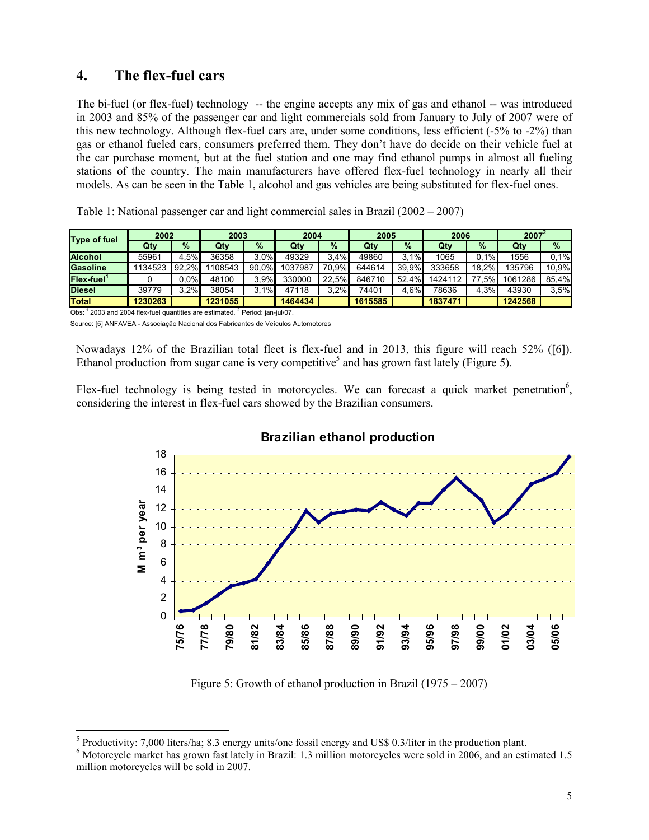## **4. The flex-fuel cars**

The bi-fuel (or flex-fuel) technology -- the engine accepts any mix of gas and ethanol -- was introduced in 2003 and 85% of the passenger car and light commercials sold from January to July of 2007 were of this new technology. Although flex-fuel cars are, under some conditions, less efficient (-5% to -2%) than gas or ethanol fueled cars, consumers preferred them. They don't have do decide on their vehicle fuel at the car purchase moment, but at the fuel station and one may find ethanol pumps in almost all fueling stations of the country. The main manufacturers have offered flex-fuel technology in nearly all their models. As can be seen in the Table 1, alcohol and gas vehicles are being substituted for flex-fuel ones.

|  | Table 1: National passenger car and light commercial sales in Brazil (2002 – 2007) |  |
|--|------------------------------------------------------------------------------------|--|
|  |                                                                                    |  |

| <b>Type of fuel</b>       | 2002    |          | 2003    |       | 2004    |       | 2005    |          | 2006    |          | $2007^2$ |       |
|---------------------------|---------|----------|---------|-------|---------|-------|---------|----------|---------|----------|----------|-------|
|                           | Qty     | $\%$     | Qty     | $\%$  | Qty     | $\%$  | Qty     | $\%$     | Qty     | $\%$     | Qty      | $\%$  |
| <b>Alcohol</b>            | 55961   | 4.5%     | 36358   | 3.0%  | 49329   | 3.4%  | 49860   | 3.1%     | 1065    | 0.1%     | 1556     | 0.1%  |
| Gasoline                  | 1134523 | $92,2\%$ | 108543  | 90,0% | 1037987 | 70,9% | 644614  | 39.9%    | 333658  | $18,2\%$ | 135796   | 10,9% |
| $Flex$ -fuel <sup>1</sup> |         | $0.0\%$  | 48100   | 3.9%  | 330000  | 22.5% | 846710  | $52.4\%$ | 1424112 | .5%      | 1061286  | 85,4% |
| <b>Diesel</b>             | 39779   | 3.2%     | 38054   | 3.1%  | 47118   | 3.2%  | 74401   | 4.6%     | 78636   | 4,3%     | 43930    | 3.5%  |
| <b>Total</b>              | 1230263 |          | 1231055 |       | 1464434 |       | 1615585 |          | 1837471 |          | 1242568  |       |

Obs: <sup>1</sup> 2003 and 2004 flex-fuel quantities are estimated. <sup>2</sup> Period: jan-jul/07. Source: [5] ANFAVEA - Associação Nacional dos Fabricantes de Veículos Automotores

Nowadays 12% of the Brazilian total fleet is flex-fuel and in 2013, this figure will reach 52% ([6]). Ethanol production from sugar cane is very competitive<sup>5</sup> and has grown fast lately (Figure 5).

Flex-fuel technology is being tested in motorcycles. We can forecast a quick market penetration<sup>6</sup>, considering the interest in flex-fuel cars showed by the Brazilian consumers.



Figure 5: Growth of ethanol production in Brazil (1975 – 2007)

<sup>&</sup>lt;sup>5</sup> Productivity: 7,000 liters/ha; 8.3 energy units/one fossil energy and US\$ 0.3/liter in the production plant.

<sup>&</sup>lt;sup>6</sup> Motorcycle market has grown fast lately in Brazil: 1.3 million motorcycles were sold in 2006, and an estimated 1.5 million motorcycles will be sold in 2007.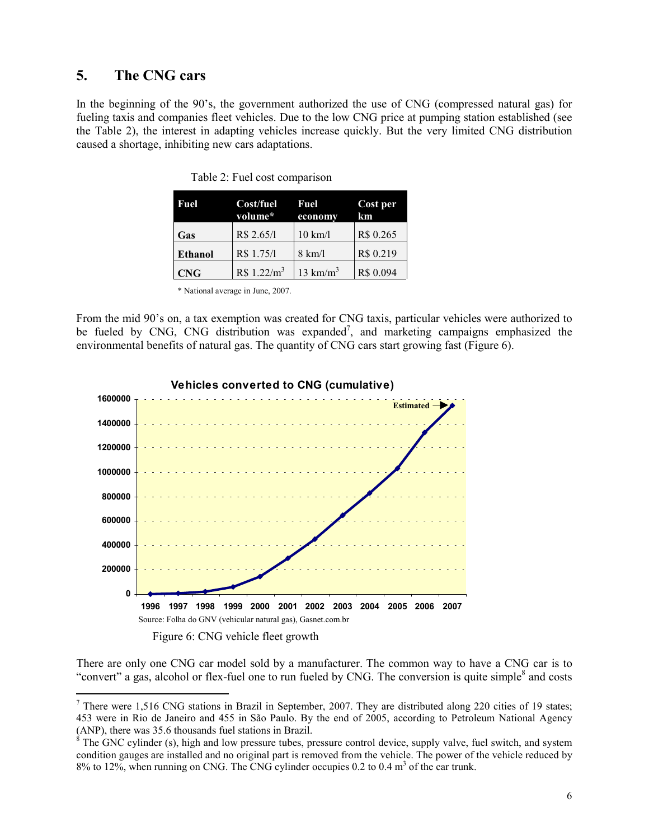#### **5. The CNG cars**

In the beginning of the 90's, the government authorized the use of CNG (compressed natural gas) for fueling taxis and companies fleet vehicles. Due to the low CNG price at pumping station established (see the Table 2), the interest in adapting vehicles increase quickly. But the very limited CNG distribution caused a shortage, inhibiting new cars adaptations.

| Fuel           | Cost/fuel<br>volume*   | Fuel<br>economy      | Cost per<br>km |  |
|----------------|------------------------|----------------------|----------------|--|
| Gas            | R\$ 2.65/1             | $10 \text{ km}/l$    | R\$ 0.265      |  |
| <b>Ethanol</b> | R\$ 1.75/1             | $8 \text{ km}/l$     | R\$ 0.219      |  |
| <b>CNG</b>     | R\$1.22/m <sup>3</sup> | 13 km/m <sup>3</sup> | R\$ 0.094      |  |

Table 2: Fuel cost comparison

\* National average in June, 2007.

From the mid 90's on, a tax exemption was created for CNG taxis, particular vehicles were authorized to be fueled by CNG, CNG distribution was expanded<sup>7</sup>, and marketing campaigns emphasized the environmental benefits of natural gas. The quantity of CNG cars start growing fast (Figure 6).



Figure 6: CNG vehicle fleet growth

 $\overline{a}$ 

There are only one CNG car model sold by a manufacturer. The common way to have a CNG car is to "convert" a gas, alcohol or flex-fuel one to run fueled by CNG. The conversion is quite simple<sup>8</sup> and costs

<sup>&</sup>lt;sup>7</sup> There were 1,516 CNG stations in Brazil in September, 2007. They are distributed along 220 cities of 19 states; 453 were in Rio de Janeiro and 455 in São Paulo. By the end of 2005, according to Petroleum National Agency (ANP), there was 35.6 thousands fuel stations in Brazil.<br><sup>8</sup> The GNC cylinder (s), high and low pressure tubes, pressure control device, supply valve, fuel switch, and system

condition gauges are installed and no original part is removed from the vehicle. The power of the vehicle reduced by  $8\%$  to 12%, when running on CNG. The CNG cylinder occupies 0.2 to 0.4  $\text{m}^3$  of the car trunk.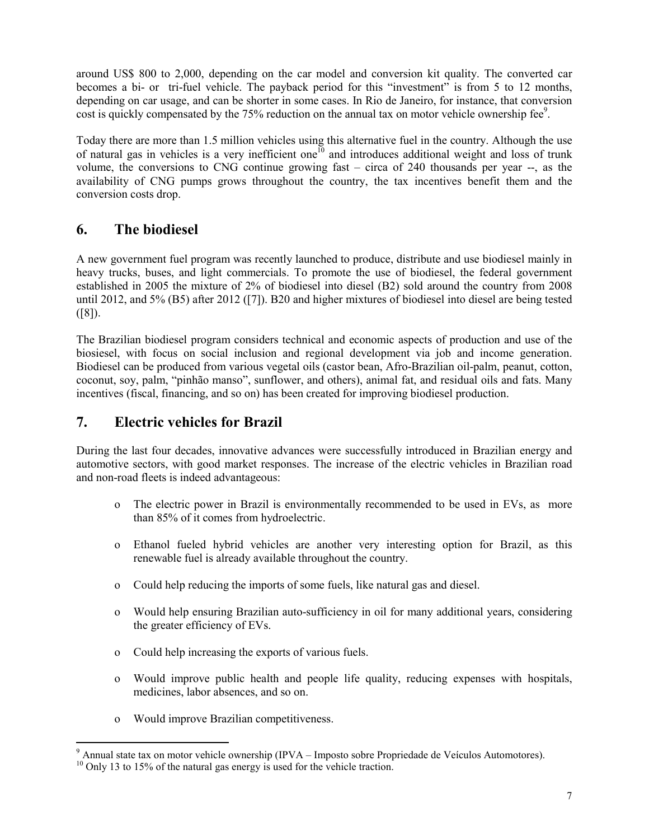around US\$ 800 to 2,000, depending on the car model and conversion kit quality. The converted car becomes a bi- or tri-fuel vehicle. The payback period for this "investment" is from 5 to 12 months, depending on car usage, and can be shorter in some cases. In Rio de Janeiro, for instance, that conversion cost is quickly compensated by the 75% reduction on the annual tax on motor vehicle ownership fee<sup>9</sup>.

Today there are more than 1.5 million vehicles using this alternative fuel in the country. Although the use of natural gas in vehicles is a very inefficient one<sup> $10$ </sup> and introduces additional weight and loss of trunk volume, the conversions to CNG continue growing fast – circa of 240 thousands per year --, as the availability of CNG pumps grows throughout the country, the tax incentives benefit them and the conversion costs drop.

# **6. The biodiesel**

A new government fuel program was recently launched to produce, distribute and use biodiesel mainly in heavy trucks, buses, and light commercials. To promote the use of biodiesel, the federal government established in 2005 the mixture of 2% of biodiesel into diesel (B2) sold around the country from 2008 until 2012, and 5% (B5) after 2012 ([7]). B20 and higher mixtures of biodiesel into diesel are being tested  $([8])$ .

The Brazilian biodiesel program considers technical and economic aspects of production and use of the biosiesel, with focus on social inclusion and regional development via job and income generation. Biodiesel can be produced from various vegetal oils (castor bean, Afro-Brazilian oil-palm, peanut, cotton, coconut, soy, palm, "pinhão manso", sunflower, and others), animal fat, and residual oils and fats. Many incentives (fiscal, financing, and so on) has been created for improving biodiesel production.

## **7. Electric vehicles for Brazil**

During the last four decades, innovative advances were successfully introduced in Brazilian energy and automotive sectors, with good market responses. The increase of the electric vehicles in Brazilian road and non-road fleets is indeed advantageous:

- o The electric power in Brazil is environmentally recommended to be used in EVs, as more than 85% of it comes from hydroelectric.
- o Ethanol fueled hybrid vehicles are another very interesting option for Brazil, as this renewable fuel is already available throughout the country.
- o Could help reducing the imports of some fuels, like natural gas and diesel.
- o Would help ensuring Brazilian auto-sufficiency in oil for many additional years, considering the greater efficiency of EVs.
- o Could help increasing the exports of various fuels.
- o Would improve public health and people life quality, reducing expenses with hospitals, medicines, labor absences, and so on.
- o Would improve Brazilian competitiveness.

 $\overline{a}$ 

 $9$  Annual state tax on motor vehicle ownership (IPVA – Imposto sobre Propriedade de Veículos Automotores).

<sup>&</sup>lt;sup>10</sup> Only 13 to 15% of the natural gas energy is used for the vehicle traction.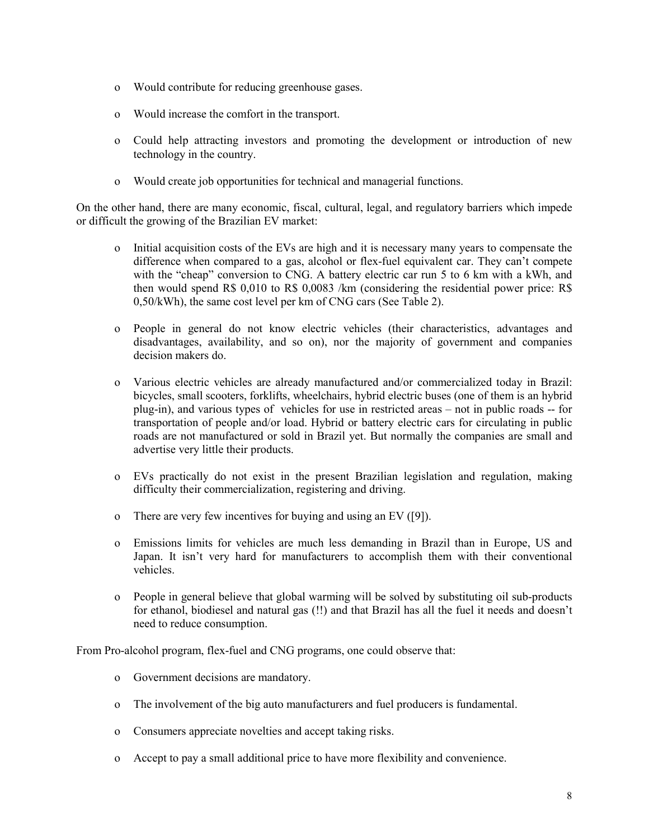- o Would contribute for reducing greenhouse gases.
- o Would increase the comfort in the transport.
- o Could help attracting investors and promoting the development or introduction of new technology in the country.
- o Would create job opportunities for technical and managerial functions.

On the other hand, there are many economic, fiscal, cultural, legal, and regulatory barriers which impede or difficult the growing of the Brazilian EV market:

- o Initial acquisition costs of the EVs are high and it is necessary many years to compensate the difference when compared to a gas, alcohol or flex-fuel equivalent car. They can't compete with the "cheap" conversion to CNG. A battery electric car run 5 to 6 km with a kWh, and then would spend R\$ 0,010 to R\$ 0,0083 /km (considering the residential power price: R\$ 0,50/kWh), the same cost level per km of CNG cars (See Table 2).
- o People in general do not know electric vehicles (their characteristics, advantages and disadvantages, availability, and so on), nor the majority of government and companies decision makers do.
- o Various electric vehicles are already manufactured and/or commercialized today in Brazil: bicycles, small scooters, forklifts, wheelchairs, hybrid electric buses (one of them is an hybrid plug-in), and various types of vehicles for use in restricted areas – not in public roads -- for transportation of people and/or load. Hybrid or battery electric cars for circulating in public roads are not manufactured or sold in Brazil yet. But normally the companies are small and advertise very little their products.
- o EVs practically do not exist in the present Brazilian legislation and regulation, making difficulty their commercialization, registering and driving.
- o There are very few incentives for buying and using an EV ([9]).
- o Emissions limits for vehicles are much less demanding in Brazil than in Europe, US and Japan. It isn't very hard for manufacturers to accomplish them with their conventional vehicles.
- o People in general believe that global warming will be solved by substituting oil sub-products for ethanol, biodiesel and natural gas (!!) and that Brazil has all the fuel it needs and doesn't need to reduce consumption.

From Pro-alcohol program, flex-fuel and CNG programs, one could observe that:

- o Government decisions are mandatory.
- o The involvement of the big auto manufacturers and fuel producers is fundamental.
- o Consumers appreciate novelties and accept taking risks.
- o Accept to pay a small additional price to have more flexibility and convenience.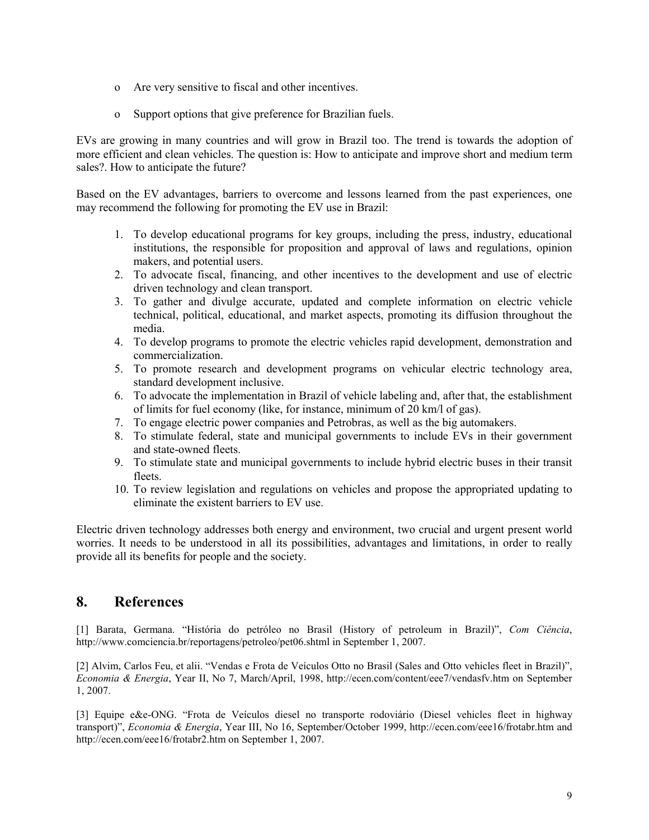- o Are very sensitive to fiscal and other incentives.
- o Support options that give preference for Brazilian fuels.

EVs are growing in many countries and will grow in Brazil too. The trend is towards the adoption of more efficient and clean vehicles. The question is: How to anticipate and improve short and medium term sales?. How to anticipate the future?

Based on the EV advantages, barriers to overcome and lessons learned from the past experiences, one may recommend the following for promoting the EV use in Brazil:

- 1. To develop educational programs for key groups, including the press, industry, educational institutions, the responsible for proposition and approval of laws and regulations, opinion makers, and potential users.
- 2. To advocate fiscal, financing, and other incentives to the development and use of electric driven technology and clean transport.
- 3. To gather and divulge accurate, updated and complete information on electric vehicle technical, political, educational, and market aspects, promoting its diffusion throughout the media.
- 4. To develop programs to promote the electric vehicles rapid development, demonstration and commercialization.
- 5. To promote research and development programs on vehicular electric technology area, standard development inclusive.
- 6. To advocate the implementation in Brazil of vehicle labeling and, after that, the establishment of limits for fuel economy (like, for instance, minimum of 20 km/l of gas).
- 7. To engage electric power companies and Petrobras, as well as the big automakers.
- 8. To stimulate federal, state and municipal governments to include EVs in their government and state-owned fleets.
- 9. To stimulate state and municipal governments to include hybrid electric buses in their transit fleets.
- 10. To review legislation and regulations on vehicles and propose the appropriated updating to eliminate the existent barriers to EV use.

Electric driven technology addresses both energy and environment, two crucial and urgent present world worries. It needs to be understood in all its possibilities, advantages and limitations, in order to really provide all its benefits for people and the society.

## **8. References**

[1] Barata, Germana. "História do petróleo no Brasil (History of petroleum in Brazil)", *Com Ciência*, http://www.comciencia.br/reportagens/petroleo/pet06.shtml in September 1, 2007.

[2] Alvim, Carlos Feu, et alii. "Vendas e Frota de Veículos Otto no Brasil (Sales and Otto vehicles fleet in Brazil)", *Economia & Energia*, Year II, No 7, March/April, 1998, http://ecen.com/content/eee7/vendasfv.htm on September 1, 2007.

[3] Equipe e&e-ONG. "Frota de Veículos diesel no transporte rodoviário (Diesel vehicles fleet in highway transport)", *Economia & Energia*, Year III, No 16, September/October 1999, http://ecen.com/eee16/frotabr.htm and http://ecen.com/eee16/frotabr2.htm on September 1, 2007.